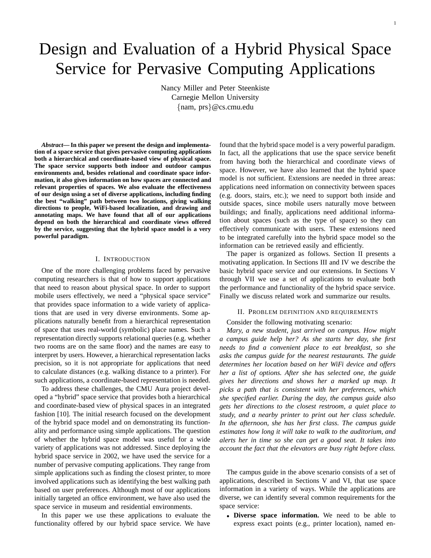# Design and Evaluation of a Hybrid Physical Space Service for Pervasive Computing Applications

Nancy Miller and Peter Steenkiste Carnegie Mellon University *{*nam, prs*}*@cs.cmu.edu

*Abstract***— In this paper we present the design and implementation of a space service that gives pervasive computing applications both a hierarchical and coordinate-based view of physical space. The space service supports both indoor and outdoor campus environments and, besides relational and coordinate space information, it also gives information on how spaces are connected and relevant properties of spaces. We also evaluate the effectiveness of our design using a set of diverse applications, including finding the best "walking" path between two locations, giving walking directions to people, WiFi-based localization, and drawing and annotating maps. We have found that all of our applications depend on both the hierarchical and coordinate views offered by the service, suggesting that the hybrid space model is a very powerful paradigm.**

### I. INTRODUCTION

One of the more challenging problems faced by pervasive computing researchers is that of how to support applications that need to reason about physical space. In order to support mobile users effectively, we need a "physical space service" that provides space information to a wide variety of applications that are used in very diverse environments. Some applications naturally benefit from a hierarchical representation of space that uses real-world (symbolic) place names. Such a representation directly supports relational queries (e.g. whether two rooms are on the same floor) and the names are easy to interpret by users. However, a hierarchical representation lacks precision, so it is not appropriate for applications that need to calculate distances (e.g. walking distance to a printer). For such applications, a coordinate-based representation is needed.

To address these challenges, the CMU Aura project developed a "hybrid" space service that provides both a hierarchical and coordinate-based view of physical spaces in an integrated fashion [10]. The initial research focused on the development of the hybrid space model and on demonstrating its functionality and performance using simple applications. The question of whether the hybrid space model was useful for a wide variety of applications was not addressed. Since deploying the hybrid space service in 2002, we have used the service for a number of pervasive computing applications. They range from simple applications such as finding the closest printer, to more involved applications such as identifying the best walking path based on user preferences. Although most of our applications initially targeted an office environment, we have also used the space service in museum and residential environments.

In this paper we use these applications to evaluate the functionality offered by our hybrid space service. We have found that the hybrid space model is a very powerful paradigm. In fact, all the applications that use the space service benefit from having both the hierarchical and coordinate views of space. However, we have also learned that the hybrid space model is not sufficient. Extensions are needed in three areas: applications need information on connectivity between spaces (e.g. doors, stairs, etc.); we need to support both inside and outside spaces, since mobile users naturally move between buildings; and finally, applications need additional information about spaces (such as the type of space) so they can effectively communicate with users. These extensions need to be integrated carefully into the hybrid space model so the information can be retrieved easily and efficiently.

The paper is organized as follows. Section II presents a motivating application. In Sections III and IV we describe the basic hybrid space service and our extensions. In Sections V through VII we use a set of applications to evaluate both the performance and functionality of the hybrid space service. Finally we discuss related work and summarize our results.

#### II. PROBLEM DEFINITION AND REQUIREMENTS

Consider the following motivating scenario:

*Mary, a new student, just arrived on campus. How might a campus guide help her? As she starts her day, she first needs to find a convenient place to eat breakfast, so she asks the campus guide for the nearest restaurants. The guide determines her location based on her WiFi device and offers her a list of options. After she has selected one, the guide gives her directions and shows her a marked up map. It picks a path that is consistent with her preferences, which she specified earlier. During the day, the campus guide also gets her directions to the closest restroom, a quiet place to study, and a nearby printer to print out her class schedule. In the afternoon, she has her first class. The campus guide estimates how long it will take to walk to the auditorium, and alerts her in time so she can get a good seat. It takes into account the fact that the elevators are busy right before class.*

The campus guide in the above scenario consists of a set of applications, described in Sections V and VI, that use space information in a variety of ways. While the applications are diverse, we can identify several common requirements for the space service:

*•* **Diverse space information.** We need to be able to express exact points (e.g., printer location), named en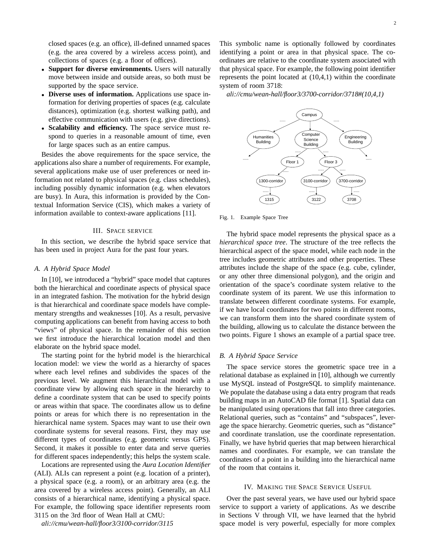closed spaces (e.g. an office), ill-defined unnamed spaces (e.g. the area covered by a wireless access point), and collections of spaces (e.g. a floor of offices).

- *•* **Support for diverse environments.** Users will naturally move between inside and outside areas, so both must be supported by the space service.
- *•* **Diverse uses of information.** Applications use space information for deriving properties of spaces (e.g. calculate distances), optimization (e.g. shortest walking path), and effective communication with users (e.g. give directions).
- *•* **Scalability and efficiency.** The space service must respond to queries in a reasonable amount of time, even for large spaces such as an entire campus.

Besides the above requirements for the space service, the applications also share a number of requirements. For example, several applications make use of user preferences or need information not related to physical spaces (e.g. class schedules), including possibly dynamic information (e.g. when elevators are busy). In Aura, this information is provided by the Contextual Information Service (CIS), which makes a variety of information available to context-aware applications [11].

#### III. SPACE SERVICE

In this section, we describe the hybrid space service that has been used in project Aura for the past four years.

#### *A. A Hybrid Space Model*

In [10], we introduced a "hybrid" space model that captures both the hierarchical and coordinate aspects of physical space in an integrated fashion. The motivation for the hybrid design is that hierarchical and coordinate space models have complementary strengths and weaknesses [10]. As a result, pervasive computing applications can benefit from having access to both "views" of physical space. In the remainder of this section we first introduce the hierarchical location model and then elaborate on the hybrid space model.

The starting point for the hybrid model is the hierarchical location model: we view the world as a hierarchy of spaces where each level refines and subdivides the spaces of the previous level. We augment this hierarchical model with a coordinate view by allowing each space in the hierarchy to define a coordinate system that can be used to specify points or areas within that space. The coordinates allow us to define points or areas for which there is no representation in the hierarchical name system. Spaces may want to use their own coordinate systems for several reasons. First, they may use different types of coordinates (e.g. geometric versus GPS). Second, it makes it possible to enter data and serve queries for different spaces independently; this helps the system scale.

Locations are represented using the *Aura Location Identifier* (ALI). ALIs can represent a point (e.g. location of a printer), a physical space (e.g. a room), or an arbitrary area (e.g. the area covered by a wireless access point). Generally, an ALI consists of a hierarchical name, identifying a physical space. For example, the following space identifier represents room 3115 on the 3rd floor of Wean Hall at CMU:

*ali://cmu/wean-hall/floor3/3100-corridor/3115*

This symbolic name is optionally followed by coordinates identifying a point or area in that physical space. The coordinates are relative to the coordinate system associated with that physical space. For example, the following point identifier represents the point located at (10,4,1) within the coordinate system of room 3718:

*ali://cmu/wean-hall/floor3/3700-corridor/3718#(10,4,1)*



Fig. 1. Example Space Tree

The hybrid space model represents the physical space as a *hierarchical space tree*. The structure of the tree reflects the hierarchical aspect of the space model, while each node in the tree includes geometric attributes and other properties. These attributes include the shape of the space (e.g. cube, cylinder, or any other three dimensional polygon), and the origin and orientation of the space's coordinate system relative to the coordinate system of its parent. We use this information to translate between different coordinate systems. For example, if we have local coordinates for two points in different rooms, we can transform them into the shared coordinate system of the building, allowing us to calculate the distance between the two points. Figure 1 shows an example of a partial space tree.

#### *B. A Hybrid Space Service*

The space service stores the geometric space tree in a relational database as explained in [10], although we currently use MySQL instead of PostgreSQL to simplify maintenance. We populate the database using a data entry program that reads building maps in an AutoCAD file format [1]. Spatial data can be manipulated using operations that fall into three categories. Relational queries, such as "contains" and "subspaces", leverage the space hierarchy. Geometric queries, such as "distance" and coordinate translation, use the coordinate representation. Finally, we have hybrid queries that map between hierarchical names and coordinates. For example, we can translate the coordinates of a point in a building into the hierarchical name of the room that contains it.

#### IV. MAKING THE SPACE SERVICE USEFUL

Over the past several years, we have used our hybrid space service to support a variety of applications. As we describe in Sections V through VII, we have learned that the hybrid space model is very powerful, especially for more complex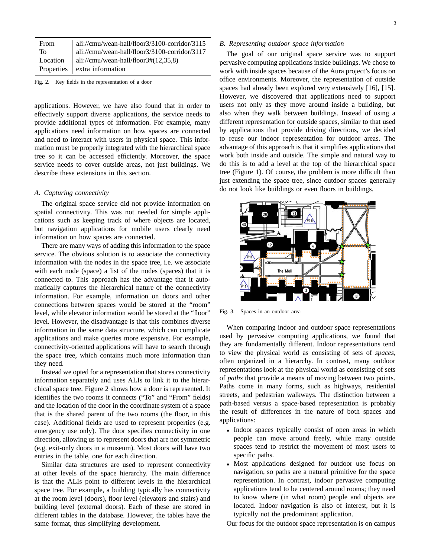| From     | ali://cmu/wean-hall/floor3/3100-corridor/3115 |
|----------|-----------------------------------------------|
| To       | ali://cmu/wean-hall/floor3/3100-corridor/3117 |
| Location | $\int$ ali://cmu/wean-hall/floor3#(12,35,8)   |
|          | Properties   extra information                |

Fig. 2. Key fields in the representation of a door

applications. However, we have also found that in order to effectively support diverse applications, the service needs to provide additional types of information. For example, many applications need information on how spaces are connected and need to interact with users in physical space. This information must be properly integrated with the hierarchical space tree so it can be accessed efficiently. Moreover, the space service needs to cover outside areas, not just buildings. We describe these extensions in this section.

### *A. Capturing connectivity*

The original space service did not provide information on spatial connectivity. This was not needed for simple applications such as keeping track of where objects are located, but navigation applications for mobile users clearly need information on how spaces are connected.

There are many ways of adding this information to the space service. The obvious solution is to associate the connectivity information with the nodes in the space tree, i.e. we associate with each node (space) a list of the nodes (spaces) that it is connected to. This approach has the advantage that it automatically captures the hierarchical nature of the connectivity information. For example, information on doors and other connections between spaces would be stored at the "room" level, while elevator information would be stored at the "floor" level. However, the disadvantage is that this combines diverse information in the same data structure, which can complicate applications and make queries more expensive. For example, connectivity-oriented applications will have to search through the space tree, which contains much more information than they need.

Instead we opted for a representation that stores connectivity information separately and uses ALIs to link it to the hierarchical space tree. Figure 2 shows how a door is represented. It identifies the two rooms it connects ("To" and "From" fields) and the location of the door in the coordinate system of a space that is the shared parent of the two rooms (the floor, in this case). Additional fields are used to represent properties (e.g. emergency use only). The door specifies connectivity in one direction, allowing us to represent doors that are not symmetric (e.g. exit-only doors in a museum). Most doors will have two entries in the table, one for each direction.

Similar data structures are used to represent connectivity at other levels of the space hierarchy. The main difference is that the ALIs point to different levels in the hierarchical space tree. For example, a building typically has connectivity at the room level (doors), floor level (elevators and stairs) and building level (external doors). Each of these are stored in different tables in the database. However, the tables have the same format, thus simplifying development.

## *B. Representing outdoor space information*

The goal of our original space service was to support pervasive computing applications inside buildings. We chose to work with inside spaces because of the Aura project's focus on office environments. Moreover, the representation of outside spaces had already been explored very extensively [16], [15]. However, we discovered that applications need to support users not only as they move around inside a building, but also when they walk between buildings. Instead of using a different representation for outside spaces, similar to that used by applications that provide driving directions, we decided to reuse our indoor representation for outdoor areas. The advantage of this approach is that it simplifies applications that work both inside and outside. The simple and natural way to do this is to add a level at the top of the hierarchical space tree (Figure 1). Of course, the problem is more difficult than just extending the space tree, since outdoor spaces generally do not look like buildings or even floors in buildings.



Fig. 3. Spaces in an outdoor area

When comparing indoor and outdoor space representations used by pervasive computing applications, we found that they are fundamentally different. Indoor representations tend to view the physical world as consisting of sets of *spaces*, often organized in a hierarchy. In contrast, many outdoor representations look at the physical world as consisting of sets of *paths* that provide a means of moving between two points. Paths come in many forms, such as highways, residential streets, and pedestrian walkways. The distinction between a path-based versus a space-based representation is probably the result of differences in the nature of both spaces and applications:

- *•* Indoor spaces typically consist of open areas in which people can move around freely, while many outside spaces tend to restrict the movement of most users to specific paths.
- *•* Most applications designed for outdoor use focus on navigation, so paths are a natural primitive for the space representation. In contrast, indoor pervasive computing applications tend to be centered around rooms; they need to know where (in what room) people and objects are located. Indoor navigation is also of interest, but it is typically not the predominant application.

Our focus for the outdoor space representation is on campus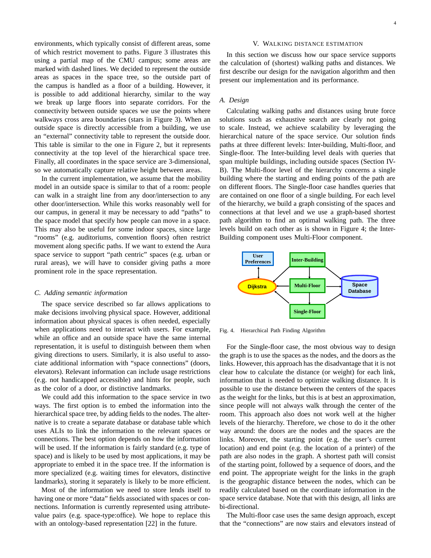environments, which typically consist of different areas, some of which restrict movement to paths. Figure 3 illustrates this using a partial map of the CMU campus; some areas are marked with dashed lines. We decided to represent the outside areas as spaces in the space tree, so the outside part of the campus is handled as a floor of a building. However, it is possible to add additional hierarchy, similar to the way we break up large floors into separate corridors. For the connectivity between outside spaces we use the points where walkways cross area boundaries (stars in Figure 3). When an outside space is directly accessible from a building, we use an "external" connectivity table to represent the outside door. This table is similar to the one in Figure 2, but it represents connectivity at the top level of the hierarchical space tree. Finally, all coordinates in the space service are 3-dimensional, so we automatically capture relative height between areas.

In the current implementation, we assume that the mobility model in an outside space is similar to that of a room: people can walk in a straight line from any door/intersection to any other door/intersection. While this works reasonably well for our campus, in general it may be necessary to add "paths" to the space model that specify how people can move in a space. This may also be useful for some indoor spaces, since large "rooms" (e.g. auditoriums, convention floors) often restrict movement along specific paths. If we want to extend the Aura space service to support "path centric" spaces (e.g. urban or rural areas), we will have to consider giving paths a more prominent role in the space representation.

#### *C. Adding semantic information*

The space service described so far allows applications to make decisions involving physical space. However, additional information about physical spaces is often needed, especially when applications need to interact with users. For example, while an office and an outside space have the same internal representation, it is useful to distinguish between them when giving directions to users. Similarly, it is also useful to associate additional information with "space connections" (doors, elevators). Relevant information can include usage restrictions (e.g. not handicapped accessible) and hints for people, such as the color of a door, or distinctive landmarks.

We could add this information to the space service in two ways. The first option is to embed the information into the hierarchical space tree, by adding fields to the nodes. The alternative is to create a separate database or database table which uses ALIs to link the information to the relevant spaces or connections. The best option depends on how the information will be used. If the information is fairly standard (e.g. type of space) and is likely to be used by most applications, it may be appropriate to embed it in the space tree. If the information is more specialized (e.g. waiting times for elevators, distinctive landmarks), storing it separately is likely to be more efficient.

Most of the information we need to store lends itself to having one or more "data" fields associated with spaces or connections. Information is currently represented using attributevalue pairs (e.g. space-type:office). We hope to replace this with an ontology-based representation [22] in the future.

### V. WALKING DISTANCE ESTIMATION

In this section we discuss how our space service supports the calculation of (shortest) walking paths and distances. We first describe our design for the navigation algorithm and then present our implementation and its performance.

# *A. Design*

Calculating walking paths and distances using brute force solutions such as exhaustive search are clearly not going to scale. Instead, we achieve scalability by leveraging the hierarchical nature of the space service. Our solution finds paths at three different levels: Inter-building, Multi-floor, and Single-floor. The Inter-building level deals with queries that span multiple buildings, including outside spaces (Section IV-B). The Multi-floor level of the hierarchy concerns a single building where the starting and ending points of the path are on different floors. The Single-floor case handles queries that are contained on one floor of a single building. For each level of the hierarchy, we build a graph consisting of the spaces and connections at that level and we use a graph-based shortest path algorithm to find an optimal walking path. The three levels build on each other as is shown in Figure 4; the Inter-Building component uses Multi-Floor component.



Fig. 4. Hierarchical Path Finding Algorithm

For the Single-floor case, the most obvious way to design the graph is to use the spaces as the nodes, and the doors as the links. However, this approach has the disadvantage that it is not clear how to calculate the distance (or weight) for each link, information that is needed to optimize walking distance. It is possible to use the distance between the centers of the spaces as the weight for the links, but this is at best an approximation, since people will not always walk through the center of the room. This approach also does not work well at the higher levels of the hierarchy. Therefore, we chose to do it the other way around: the doors are the nodes and the spaces are the links. Moreover, the starting point (e.g. the user's current location) and end point (e.g. the location of a printer) of the path are also nodes in the graph. A shortest path will consist of the starting point, followed by a sequence of doors, and the end point. The appropriate weight for the links in the graph is the geographic distance between the nodes, which can be readily calculated based on the coordinate information in the space service database. Note that with this design, all links are bi-directional.

The Multi-floor case uses the same design approach, except that the "connections" are now stairs and elevators instead of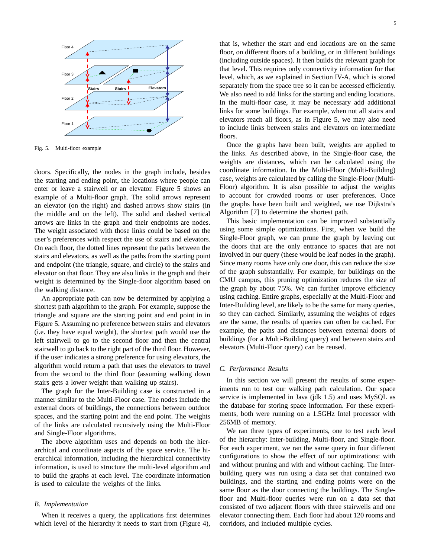

Fig. 5. Multi-floor example

doors. Specifically, the nodes in the graph include, besides the starting and ending point, the locations where people can enter or leave a stairwell or an elevator. Figure 5 shows an example of a Multi-floor graph. The solid arrows represent an elevator (on the right) and dashed arrows show stairs (in the middle and on the left). The solid and dashed vertical arrows are links in the graph and their endpoints are nodes. The weight associated with those links could be based on the user's preferences with respect the use of stairs and elevators. On each floor, the dotted lines represent the paths between the stairs and elevators, as well as the paths from the starting point and endpoint (the triangle, square, and circle) to the stairs and elevator on that floor. They are also links in the graph and their weight is determined by the Single-floor algorithm based on the walking distance.

An appropriate path can now be determined by applying a shortest path algorithm to the graph. For example, suppose the triangle and square are the starting point and end point in in Figure 5. Assuming no preference between stairs and elevators (i.e. they have equal weight), the shortest path would use the left stairwell to go to the second floor and then the central stairwell to go back to the right part of the third floor. However, if the user indicates a strong preference for using elevators, the algorithm would return a path that uses the elevators to travel from the second to the third floor (assuming walking down stairs gets a lower weight than walking up stairs).

The graph for the Inter-Building case is constructed in a manner similar to the Multi-Floor case. The nodes include the external doors of buildings, the connections between outdoor spaces, and the starting point and the end point. The weights of the links are calculated recursively using the Multi-Floor and Single-Floor algorithms.

The above algorithm uses and depends on both the hierarchical and coordinate aspects of the space service. The hierarchical information, including the hierarchical connectivity information, is used to structure the multi-level algorithm and to build the graphs at each level. The coordinate information is used to calculate the weights of the links.

## *B. Implementation*

When it receives a query, the applications first determines which level of the hierarchy it needs to start from (Figure 4),

5

that is, whether the start and end locations are on the same floor, on different floors of a building, or in different buildings (including outside spaces). It then builds the relevant graph for that level. This requires only connectivity information for that level, which, as we explained in Section IV-A, which is stored separately from the space tree so it can be accessed efficiently. We also need to add links for the starting and ending locations. In the multi-floor case, it may be necessary add additional links for some buildings. For example, when not all stairs and elevators reach all floors, as in Figure 5, we may also need to include links between stairs and elevators on intermediate floors.

Once the graphs have been built, weights are applied to the links. As described above, in the Single-floor case, the weights are distances, which can be calculated using the coordinate information. In the Multi-Floor (Multi-Building) case, weights are calculated by calling the Single-Floor (Multi-Floor) algorithm. It is also possible to adjust the weights to account for crowded rooms or user preferences. Once the graphs have been built and weighted, we use Dijkstra's Algorithm [7] to determine the shortest path.

This basic implementation can be improved substantially using some simple optimizations. First, when we build the Single-Floor graph, we can prune the graph by leaving out the doors that are the only entrance to spaces that are not involved in our query (these would be leaf nodes in the graph). Since many rooms have only one door, this can reduce the size of the graph substantially. For example, for buildings on the CMU campus, this pruning optimization reduces the size of the graph by about 75%. We can further improve efficiency using caching. Entire graphs, especially at the Multi-Floor and Inter-Building level, are likely to be the same for many queries, so they can cached. Similarly, assuming the weights of edges are the same, the results of queries can often be cached. For example, the paths and distances between external doors of buildings (for a Multi-Building query) and between stairs and elevators (Multi-Floor query) can be reused.

## *C. Performance Results*

In this section we will present the results of some experiments run to test our walking path calculation. Our space service is implemented in Java (jdk 1.5) and uses MySQL as the database for storing space information. For these experiments, both were running on a 1.5GHz Intel processor with 256MB of memory.

We ran three types of experiments, one to test each level of the hierarchy: Inter-building, Multi-floor, and Single-floor. For each experiment, we ran the same query in four different configurations to show the effect of our optimizations: with and without pruning and with and without caching. The Interbuilding query was run using a data set that contained two buildings, and the starting and ending points were on the same floor as the door connecting the buildings. The Singlefloor and Multi-floor queries were run on a data set that consisted of two adjacent floors with three stairwells and one elevator connecting them. Each floor had about 120 rooms and corridors, and included multiple cycles.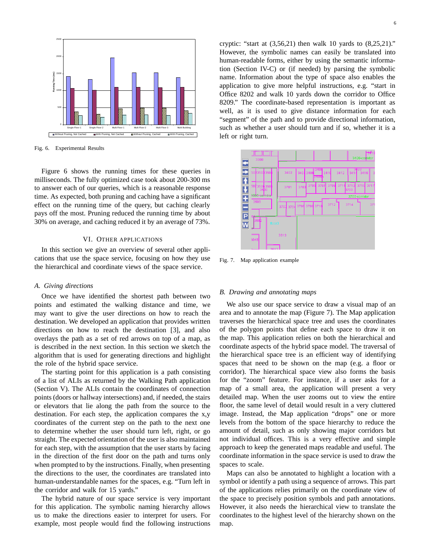

Fig. 6. Experimental Results

Figure 6 shows the running times for these queries in milliseconds. The fully optimized case took about 200-300 ms to answer each of our queries, which is a reasonable response time. As expected, both pruning and caching have a significant effect on the running time of the query, but caching clearly pays off the most. Pruning reduced the running time by about 30% on average, and caching reduced it by an average of 73%.

#### VI. OTHER APPLICATIONS

In this section we give an overview of several other applications that use the space service, focusing on how they use the hierarchical and coordinate views of the space service.

#### *A. Giving directions*

Once we have identified the shortest path between two points and estimated the walking distance and time, we may want to give the user directions on how to reach the destination. We developed an application that provides written directions on how to reach the destination [3], and also overlays the path as a set of red arrows on top of a map, as is described in the next section. In this section we sketch the algorithm that is used for generating directions and highlight the role of the hybrid space service.

The starting point for this application is a path consisting of a list of ALIs as returned by the Walking Path application (Section V). The ALIs contain the coordinates of connection points (doors or hallway intersections) and, if needed, the stairs or elevators that lie along the path from the source to the destination. For each step, the application compares the x,y coordinates of the current step on the path to the next one to determine whether the user should turn left, right, or go straight. The expected orientation of the user is also maintained for each step, with the assumption that the user starts by facing in the direction of the first door on the path and turns only when prompted to by the instructions. Finally, when presenting the directions to the user, the coordinates are translated into human-understandable names for the spaces, e.g. "Turn left in the corridor and walk for 15 yards."

The hybrid nature of our space service is very important for this application. The symbolic naming hierarchy allows us to make the directions easier to interpret for users. For example, most people would find the following instructions cryptic: "start at  $(3,56,21)$  then walk 10 yards to  $(8,25,21)$ ." However, the symbolic names can easily be translated into human-readable forms, either by using the semantic information (Section IV-C) or (if needed) by parsing the symbolic name. Information about the type of space also enables the application to give more helpful instructions, e.g. "start in Office 8202 and walk 10 yards down the corridor to Office 8209." The coordinate-based representation is important as well, as it is used to give distance information for each "segment" of the path and to provide directional information, such as whether a user should turn and if so, whether it is a left or right turn.



Fig. 7. Map application example

## *B. Drawing and annotating maps*

We also use our space service to draw a visual map of an area and to annotate the map (Figure 7). The Map application traverses the hierarchical space tree and uses the coordinates of the polygon points that define each space to draw it on the map. This application relies on both the hierarchical and coordinate aspects of the hybrid space model. The traversal of the hierarchical space tree is an efficient way of identifying spaces that need to be shown on the map (e.g. a floor or corridor). The hierarchical space view also forms the basis for the "zoom" feature. For instance, if a user asks for a map of a small area, the application will present a very detailed map. When the user zooms out to view the entire floor, the same level of detail would result in a very cluttered image. Instead, the Map application "drops" one or more levels from the bottom of the space hierarchy to reduce the amount of detail, such as only showing major corridors but not individual offices. This is a very effective and simple approach to keep the generated maps readable and useful. The coordinate information in the space service is used to draw the spaces to scale.

Maps can also be annotated to highlight a location with a symbol or identify a path using a sequence of arrows. This part of the applications relies primarily on the coordinate view of the space to precisely position symbols and path annotations. However, it also needs the hierarchical view to translate the coordinates to the highest level of the hierarchy shown on the map.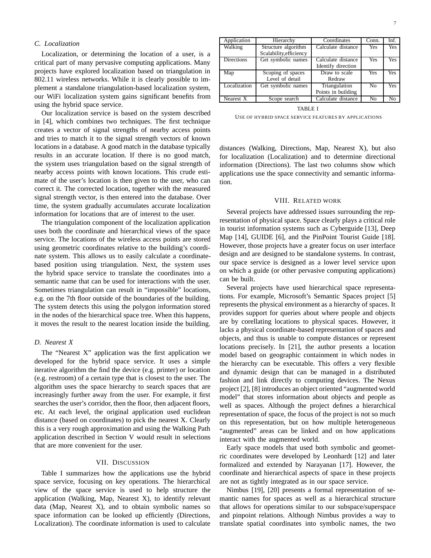## *C. Localization*

Localization, or determining the location of a user, is a critical part of many pervasive computing applications. Many projects have explored localization based on triangulation in 802.11 wireless networks. While it is clearly possible to implement a standalone triangulation-based localization system, our WiFi localization system gains significant benefits from using the hybrid space service.

Our localization service is based on the system described in [4], which combines two techniques. The first technique creates a vector of signal strengths of nearby access points and tries to match it to the signal strength vectors of known locations in a database. A good match in the database typically results in an accurate location. If there is no good match, the system uses triangulation based on the signal strength of nearby access points with known locations. This crude estimate of the user's location is then given to the user, who can correct it. The corrected location, together with the measured signal strength vector, is then entered into the database. Over time, the system gradually accumulates accurate localization information for locations that are of interest to the user.

The triangulation component of the localization application uses both the coordinate and hierarchical views of the space service. The locations of the wireless access points are stored using geometric coordinates relative to the building's coordinate system. This allows us to easily calculate a coordinatebased position using triangulation. Next, the system uses the hybrid space service to translate the coordinates into a semantic name that can be used for interactions with the user. Sometimes triangulation can result in "impossible" locations, e.g. on the 7th floor outside of the boundaries of the building. The system detects this using the polygon information stored in the nodes of the hierarchical space tree. When this happens, it moves the result to the nearest location inside the building.

#### *D. Nearest X*

The "Nearest X" application was the first application we developed for the hybrid space service. It uses a simple iterative algorithm the find the device (e.g. printer) or location (e.g. restroom) of a certain type that is closest to the user. The algorithm uses the space hierarchy to search spaces that are increasingly further away from the user. For example, it first searches the user's corridor, then the floor, then adjacent floors, etc. At each level, the original application used euclidean distance (based on coordinates) to pick the nearest X. Clearly this is a very rough approximation and using the Walking Path application described in Section V would result in selections that are more convenient for the user.

## VII. DISCUSSION

Table I summarizes how the applications use the hybrid space service, focusing on key operations. The hierarchical view of the space service is used to help structure the application (Walking, Map, Nearest X), to identify relevant data (Map, Nearest X), and to obtain symbolic names so space information can be looked up efficiently (Directions, Localization). The coordinate information is used to calculate

| Application       | Hierarchy               | Coordinates        | Conn. | Inf. |
|-------------------|-------------------------|--------------------|-------|------|
| Walking           | Structure algorithm     | Calculate distance | Yes   | Yes  |
|                   | Scalability, efficiency |                    |       |      |
| <b>Directions</b> | Get symbolic names      | Calculate distance | Yes   | Yes  |
|                   |                         | Identify direction |       |      |
| Map               | Scoping of spaces       | Draw to scale      | Yes   | Yes  |
|                   | Level of detail         | Redraw             |       |      |
| Localization      | Get symbolic names      | Triangulation      | No    | Yes  |
|                   |                         | Points in building |       |      |
| Nearest X         | Scope search            | Calculate distance | No    | No   |
|                   |                         |                    |       |      |

## TABLE I

USE OF HYBRID SPACE SERVICE FEATURES BY APPLICATIONS

distances (Walking, Directions, Map, Nearest X), but also for localization (Localization) and to determine directional information (Directions). The last two columns show which applications use the space connectivity and semantic information.

#### VIII. RELATED WORK

Several projects have addressed issues surrounding the representation of physical space. Space clearly plays a critical role in tourist information systems such as Cyberguide [13], Deep Map [14], GUIDE [6], and the PinPoint Tourist Guide [18]. However, those projects have a greater focus on user interface design and are designed to be standalone systems. In contrast, our space service is designed as a lower level service upon on which a guide (or other pervasive computing applications) can be built.

Several projects have used hierarchical space representations. For example, Microsoft's Semantic Spaces project [5] represents the physical environment as a hierarchy of spaces. It provides support for queries about where people and objects are by corellating locations to physical spaces. However, it lacks a physical coordinate-based representation of spaces and objects, and thus is unable to compute distances or represent locations precisely. In [21], the author presents a location model based on geographic containment in which nodes in the hierarchy can be executable. This offers a very flexible and dynamic design that can be managed in a distributed fashion and link directly to computing devices. The Nexus project [2], [8] introduces an object oriented "augmented world model" that stores information about objects and people as well as spaces. Although the project defines a hierarchical representation of space, the focus of the project is not so much on this representation, but on how multiple heterogeneous "augmented" areas can be linked and on how applications interact with the augmented world.

Early space models that used both symbolic and geometric coordinates were developed by Leonhardt [12] and later formalized and extended by Narayanan [17]. However, the coordinate and hierarchical aspects of space in these projects are not as tightly integrated as in our space service.

Nimbus [19], [20] presents a formal representation of semantic names for spaces as well as a hierarchical structure that allows for operations similar to our subspace/superspace and pinpoint relations. Although Nimbus provides a way to translate spatial coordinates into symbolic names, the two